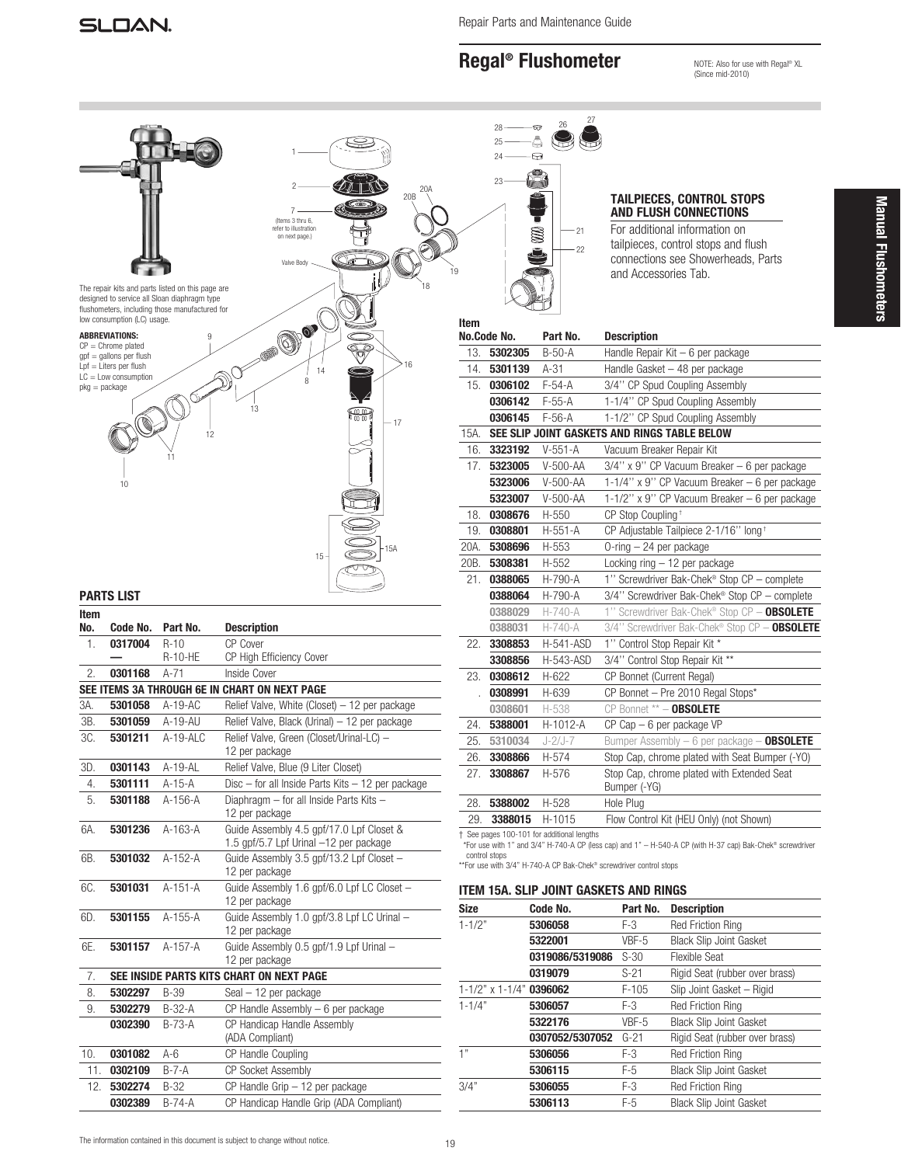# Regal® Flushometer

NOTE: Also for use with Regal® XL (Since mid-2010)

|      |                                                      |                                                                                                                                                     |                                                                                                |             | 28                      | ᠳ                                                                   |                               |                                                                                                                                                                                |
|------|------------------------------------------------------|-----------------------------------------------------------------------------------------------------------------------------------------------------|------------------------------------------------------------------------------------------------|-------------|-------------------------|---------------------------------------------------------------------|-------------------------------|--------------------------------------------------------------------------------------------------------------------------------------------------------------------------------|
|      |                                                      |                                                                                                                                                     |                                                                                                |             | 24                      | ⊕                                                                   |                               |                                                                                                                                                                                |
|      |                                                      | The repair kits and parts listed on this page are<br>designed to service all Sloan diaphragm type<br>flushometers, including those manufactured for | 20A<br>20B<br>(Items 3 thru 6,<br>refer to illustration<br>on next page.)<br>Valve Body        |             | 23                      | S<br>$-21$<br>$-22$                                                 | and Accessories Tab.          | <b>TAILPIECES, CONTROL STOPS</b><br><b>AND FLUSH CONNECTIONS</b><br>For additional information on<br>tailpieces, control stops and flush<br>connections see Showerheads, Parts |
|      | low consumption (LC) usage.<br><b>ABBREVIATIONS:</b> |                                                                                                                                                     | OPOL                                                                                           | Item        | No.Code No.             | Part No.                                                            | <b>Description</b>            |                                                                                                                                                                                |
|      | $CP =$ Chrome plated<br>$gpf = gallons per flux$ h   |                                                                                                                                                     | $\bar{\vec{v}}$                                                                                | 13.         | 5302305                 | $B-50-A$                                                            |                               | Handle Repair Kit - 6 per package                                                                                                                                              |
|      | $Lpf = Liters per flush$                             |                                                                                                                                                     | 14                                                                                             | 14.         | 5301139                 | $A-31$                                                              |                               | Handle Gasket - 48 per package                                                                                                                                                 |
|      | $LC = Low consumption$<br>$pkq = package$            |                                                                                                                                                     | 8                                                                                              | 15.         | 0306102                 | $F-54-A$                                                            |                               | 3/4" CP Spud Coupling Assembly                                                                                                                                                 |
|      |                                                      |                                                                                                                                                     |                                                                                                |             | 0306142                 | $F-55-A$                                                            |                               | 1-1/4" CP Spud Coupling Assembly                                                                                                                                               |
|      |                                                      |                                                                                                                                                     | 13<br>需<br>$-17$                                                                               |             | 0306145                 | $F-56-A$                                                            |                               | 1-1/2" CP Spud Coupling Assembly                                                                                                                                               |
|      |                                                      | 12                                                                                                                                                  |                                                                                                | 15A.        |                         | SEE SLIP JOINT GASKETS AND RINGS TABLE BELOW                        |                               |                                                                                                                                                                                |
|      |                                                      |                                                                                                                                                     |                                                                                                | 16.         | 3323192                 | $V-551-A$                                                           | Vacuum Breaker Repair Kit     |                                                                                                                                                                                |
|      |                                                      |                                                                                                                                                     |                                                                                                | 17.         | 5323005                 | $V-500-AA$                                                          |                               | 3/4" x 9" CP Vacuum Breaker - 6 per package                                                                                                                                    |
|      | 10                                                   |                                                                                                                                                     |                                                                                                |             | 5323006                 | $V-500-AA$                                                          |                               | 1-1/4" x 9" CP Vacuum Breaker - 6 per package                                                                                                                                  |
|      |                                                      |                                                                                                                                                     |                                                                                                |             | 5323007                 | $V-500-AA$                                                          |                               | 1-1/2" x 9" CP Vacuum Breaker - 6 per package                                                                                                                                  |
|      |                                                      |                                                                                                                                                     |                                                                                                | 18.         | 0308676                 | H-550                                                               | CP Stop Coupling <sup>+</sup> |                                                                                                                                                                                |
|      |                                                      |                                                                                                                                                     |                                                                                                | 19.         | 0308801                 | H-551-A                                                             |                               | CP Adjustable Tailpiece 2-1/16" long +                                                                                                                                         |
|      |                                                      |                                                                                                                                                     |                                                                                                | 20A.        | 5308696                 | H-553                                                               | $0$ -ring $-24$ per package   |                                                                                                                                                                                |
|      |                                                      |                                                                                                                                                     | 15 <sup>1</sup>                                                                                | 20B.        | 5308381                 | H-552                                                               |                               | Locking $ring - 12$ per package                                                                                                                                                |
|      |                                                      |                                                                                                                                                     |                                                                                                | 21.         | 0388065                 | H-790-A                                                             |                               | 1" Screwdriver Bak-Chek® Stop CP - complete                                                                                                                                    |
|      | <b>PARTS LIST</b>                                    |                                                                                                                                                     |                                                                                                |             |                         |                                                                     |                               | 3/4" Screwdriver Bak-Chek® Stop CP - complete                                                                                                                                  |
|      |                                                      |                                                                                                                                                     |                                                                                                |             |                         |                                                                     |                               |                                                                                                                                                                                |
|      |                                                      |                                                                                                                                                     |                                                                                                |             | 0388064                 | H-790-A                                                             |                               |                                                                                                                                                                                |
| Item |                                                      |                                                                                                                                                     |                                                                                                |             | 0388029                 | $H - 740 - A$                                                       |                               | 1" Screwdriver Bak-Chek® Stop CP - OBSOLETE                                                                                                                                    |
| No.  | Code No.                                             | Part No.                                                                                                                                            | <b>Description</b>                                                                             |             | 0388031                 | $H - 740 - A$                                                       |                               | 3/4" Screwdriver Bak-Chek® Stop CP - OBSOLETE                                                                                                                                  |
| 1.   | 0317004                                              | $R-10$<br><b>R-10-HE</b>                                                                                                                            | <b>CP Cover</b><br>CP High Efficiency Cover                                                    | 22.         | 3308853                 | H-541-ASD                                                           | 1" Control Stop Repair Kit *  |                                                                                                                                                                                |
| 2.   | 0301168                                              | $A-71$                                                                                                                                              | Inside Cover                                                                                   |             | 3308856                 | H-543-ASD                                                           |                               | 3/4" Control Stop Repair Kit **                                                                                                                                                |
|      |                                                      |                                                                                                                                                     | SEE ITEMS 3A THROUGH 6E IN CHART ON NEXT PAGE                                                  | 23.         | 0308612                 | H-622                                                               | CP Bonnet (Current Regal)     |                                                                                                                                                                                |
| 3A.  | 5301058                                              | $A-19-AC$                                                                                                                                           |                                                                                                |             | 0308991                 | H-639                                                               |                               | CP Bonnet - Pre 2010 Regal Stops*                                                                                                                                              |
| 3B.  | 5301059                                              | A-19-AU                                                                                                                                             | Relief Valve, White (Closet) - 12 per package<br>Relief Valve, Black (Urinal) - 12 per package |             | 0308601                 | H-538                                                               | CP Bonnet ** - OBSOLETE       |                                                                                                                                                                                |
| 3C.  | 5301211                                              | $A-19-ALC$                                                                                                                                          | Relief Valve, Green (Closet/Urinal-LC) -                                                       | 24.         | 5388001                 | H-1012-A                                                            | $CP$ Cap $-6$ per package VP  |                                                                                                                                                                                |
|      |                                                      |                                                                                                                                                     | 12 per package                                                                                 | 25.         | 5310034                 | $J - 2/J - 7$                                                       |                               | Bumper Assembly - 6 per package - OBSOLETE                                                                                                                                     |
| 3D.  | 0301143                                              | A-19-AL                                                                                                                                             | Relief Valve, Blue (9 Liter Closet)                                                            | 26.         | 3308866                 | H-574                                                               |                               | Stop Cap, chrome plated with Seat Bumper (-YO)                                                                                                                                 |
| 4.   | 5301111                                              | $A-15-A$                                                                                                                                            | Disc - for all Inside Parts Kits - 12 per package                                              |             | 27. 3308867             | H-576                                                               |                               | Stop Cap, chrome plated with Extended Seat                                                                                                                                     |
| 5.   | 5301188                                              | A-156-A                                                                                                                                             | Diaphragm - for all Inside Parts Kits -                                                        | 28.         | 5388002                 | H-528                                                               | Bumper (-YG)<br>Hole Plug     |                                                                                                                                                                                |
|      |                                                      |                                                                                                                                                     | 12 per package                                                                                 | 29.         | 3388015                 | H-1015                                                              |                               | Flow Control Kit (HEU Only) (not Shown)                                                                                                                                        |
| 6A.  | 5301236                                              | A-163-A                                                                                                                                             | Guide Assembly 4.5 gpf/17.0 Lpf Closet &                                                       |             |                         | + See pages 100-101 for additional lengths                          |                               |                                                                                                                                                                                |
|      |                                                      |                                                                                                                                                     | 1.5 gpf/5.7 Lpf Urinal -12 per package                                                         |             |                         |                                                                     |                               | *For use with 1" and 3/4" H-740-A CP (less cap) and 1" - H-540-A CP (with H-37 cap) Bak-Chek® screwdriver                                                                      |
| 6B.  | 5301032                                              | A-152-A                                                                                                                                             | Guide Assembly 3.5 gpf/13.2 Lpf Closet -                                                       |             | control stops           | ** For use with 3/4" H-740-A CP Bak-Chek® screwdriver control stops |                               |                                                                                                                                                                                |
|      |                                                      |                                                                                                                                                     | 12 per package                                                                                 |             |                         |                                                                     |                               |                                                                                                                                                                                |
| 6C.  | 5301031                                              | A-151-A                                                                                                                                             | Guide Assembly 1.6 gpf/6.0 Lpf LC Closet -                                                     |             |                         | ITEM 15A. SLIP JOINT GASKETS AND RINGS                              |                               |                                                                                                                                                                                |
|      |                                                      |                                                                                                                                                     | 12 per package                                                                                 | <b>Size</b> |                         | Code No.                                                            | Part No.                      | <b>Description</b>                                                                                                                                                             |
| 6D.  | 5301155                                              | A-155-A                                                                                                                                             | Guide Assembly 1.0 gpf/3.8 Lpf LC Urinal -<br>12 per package                                   | $1 - 1/2"$  |                         | 5306058                                                             | $F-3$                         | <b>Red Friction Ring</b>                                                                                                                                                       |
| 6E.  | 5301157                                              | A-157-A                                                                                                                                             | Guide Assembly 0.5 gpf/1.9 Lpf Urinal -                                                        |             |                         | 5322001                                                             | VBF-5                         | <b>Black Slip Joint Gasket</b>                                                                                                                                                 |
|      |                                                      |                                                                                                                                                     | 12 per package                                                                                 |             |                         | 0319086/5319086                                                     | $S-30$                        | <b>Flexible Seat</b>                                                                                                                                                           |
| 7.   |                                                      |                                                                                                                                                     | SEE INSIDE PARTS KITS CHART ON NEXT PAGE                                                       |             |                         | 0319079                                                             | $S-21$                        | Rigid Seat (rubber over brass)                                                                                                                                                 |
| 8.   | 5302297                                              | B-39                                                                                                                                                | $Seal - 12$ per package                                                                        |             | $1 - 1/2"$ x $1 - 1/4"$ | 0396062                                                             | $F-105$                       | Slip Joint Gasket - Rigid                                                                                                                                                      |
| 9.   | 5302279                                              | $B-32-A$                                                                                                                                            | $CP$ Handle Assembly $-6$ per package                                                          | $1 - 1/4"$  |                         | 5306057                                                             | $F-3$                         | <b>Red Friction Ring</b>                                                                                                                                                       |
|      | 0302390                                              | $B-73-A$                                                                                                                                            | CP Handicap Handle Assembly                                                                    |             |                         | 5322176                                                             | VBF-5                         | <b>Black Slip Joint Gasket</b>                                                                                                                                                 |
|      |                                                      |                                                                                                                                                     | (ADA Compliant)                                                                                |             |                         | 0307052/5307052                                                     | $G-21$                        | Rigid Seat (rubber over brass)                                                                                                                                                 |
| 10.  | 0301082                                              | A-6                                                                                                                                                 | CP Handle Coupling                                                                             | 1"          |                         | 5306056                                                             | $F-3$                         | <b>Red Friction Ring</b>                                                                                                                                                       |
| 11.  | 0302109                                              | $B - 7 - A$                                                                                                                                         | CP Socket Assembly                                                                             |             |                         | 5306115                                                             | $F-5$                         | <b>Black Slip Joint Gasket</b>                                                                                                                                                 |
|      | 12. 5302274<br>0302389                               | B-32<br>$B-74-A$                                                                                                                                    | $CP$ Handle Grip $-12$ per package<br>CP Handicap Handle Grip (ADA Compliant)                  | 3/4"        |                         | 5306055<br>5306113                                                  | $F-3$<br>$F-5$                | Red Friction Ring<br>Black Slip Joint Gasket                                                                                                                                   |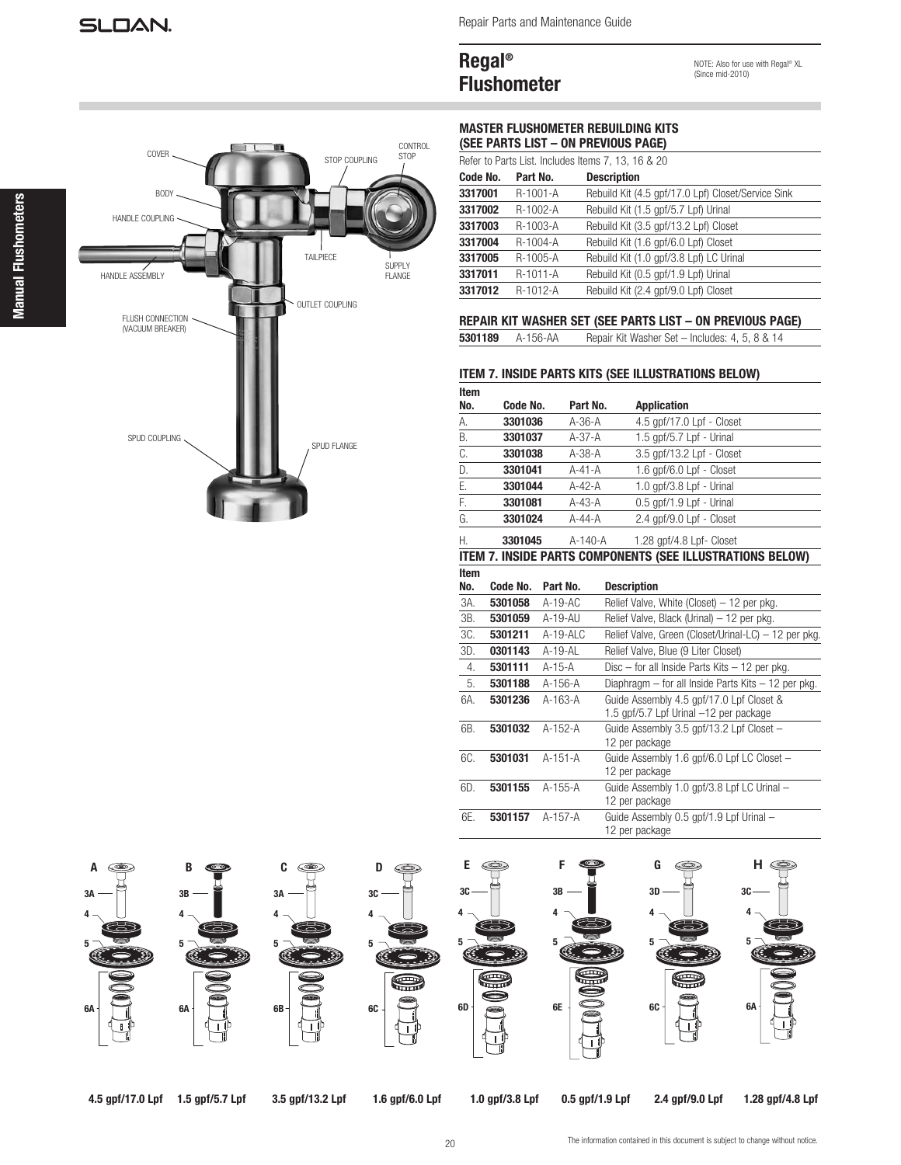Repair Parts and Maintenance Guide

# Regal® Flushometer

NOTE: Also for use with Regal® XL (Since mid-2010)



MASTER FLUSHOMETER REBUILDING KITS (SEE PARTS LIST – ON PREVIOUS PAGE)

| Refer to Parts List. Includes Items 7, 13, 16 & 20 |                |                                                    |  |  |
|----------------------------------------------------|----------------|----------------------------------------------------|--|--|
| Code No.                                           | Part No.       | <b>Description</b>                                 |  |  |
| 3317001                                            | R-1001-A       | Rebuild Kit (4.5 gpf/17.0 Lpf) Closet/Service Sink |  |  |
| 3317002                                            | $R-1002-A$     | Rebuild Kit (1.5 gpf/5.7 Lpf) Urinal               |  |  |
| 3317003                                            | R-1003-A       | Rebuild Kit (3.5 gpf/13.2 Lpf) Closet              |  |  |
| 3317004                                            | $R - 1004 - A$ | Rebuild Kit (1.6 gpf/6.0 Lpf) Closet               |  |  |
| 3317005                                            | R-1005-A       | Rebuild Kit (1.0 qpf/3.8 Lpf) LC Urinal            |  |  |
| 3317011                                            | R-1011-A       | Rebuild Kit (0.5 qpf/1.9 Lpf) Urinal               |  |  |
| 3317012                                            | R-1012-A       | Rebuild Kit (2.4 gpf/9.0 Lpf) Closet               |  |  |

## REPAIR KIT WASHER SET (SEE PARTS LIST – ON PREVIOUS PAGE)

5301189 A-156-AA Repair Kit Washer Set – Includes: 4, 5, 8 & 14

#### ITEM 7. INSIDE PARTS KITS (SEE ILLUSTRATIONS BELOW)

| Item<br>No. | Code No. | Part No.     | <b>Application</b>        |
|-------------|----------|--------------|---------------------------|
| А.          | 3301036  | $A-36-A$     | 4.5 qpf/17.0 Lpf - Closet |
| В.          | 3301037  | A-37-A       | 1.5 gpf/5.7 Lpf - Urinal  |
| C.          | 3301038  | A-38-A       | 3.5 gpf/13.2 Lpf - Closet |
| D.          | 3301041  | $A - 41 - A$ | 1.6 gpf/6.0 Lpf - Closet  |
| Ε.          | 3301044  | $A-42-A$     | 1.0 qpf/3.8 Lpf - Urinal  |
| F.          | 3301081  | $A-43-A$     | 0.5 qpf/1.9 Lpf - Urinal  |
| G.          | 3301024  | $A-44-A$     | 2.4 gpf/9.0 Lpf - Closet  |
| Η.          | 3301045  | A-140-A      | 1.28 gpf/4.8 Lpf- Closet  |

#### ITEM 7. INSIDE PARTS COMPONENTS (SEE ILLUSTRATIONS BELOW) Item

| No. | Code No. | Part No.    | <b>Description</b>                                   |
|-----|----------|-------------|------------------------------------------------------|
| 3A. | 5301058  | $A-19-AC$   | Relief Valve, White (Closet) - 12 per pkg.           |
| 3B. | 5301059  | A-19-AU     | Relief Valve, Black (Urinal) - 12 per pkg.           |
| 3C. | 5301211  | $A-19-ALC$  | Relief Valve, Green (Closet/Urinal-LC) - 12 per pkg. |
| 3D. | 0301143  | $A-19 - AL$ | Relief Valve, Blue (9 Liter Closet)                  |
| 4.  | 5301111  | A-15-A      | Disc $-$ for all Inside Parts Kits $-12$ per pkg.    |
| 5.  | 5301188  | $A-156-A$   | Diaphragm – for all Inside Parts Kits – 12 per pkg.  |
| 6A. | 5301236  | $A-163-A$   | Guide Assembly 4.5 gpf/17.0 Lpf Closet &             |
|     |          |             | 1.5 gpf/5.7 Lpf Urinal -12 per package               |
| 6B. | 5301032  | $A-152-A$   | Guide Assembly 3.5 gpf/13.2 Lpf Closet -             |
|     |          |             | 12 per package                                       |
| 6C. | 5301031  | A-151-A     | Guide Assembly 1.6 gpf/6.0 Lpf LC Closet -           |
|     |          |             | 12 per package                                       |
| 6D. | 5301155  | $A-155-A$   | Guide Assembly 1.0 gpf/3.8 Lpf LC Urinal -           |
|     |          |             | 12 per package                                       |
| 6E. | 5301157  | A-157-A     | Guide Assembly 0.5 gpf/1.9 Lpf Urinal -              |
|     |          |             | 12 per package                                       |



4.5 gpf/17.0 Lpf 1.5 gpf/5.7 Lpf 3.5 gpf/13.2 Lpf 1.6 gpf/6.0 Lpf 1.0 gpf/3.8 Lpf 0.5 gpf/1.9 Lpf 2.4 gpf/9.0 Lpf

1.28 gpf/4.8 Lpf